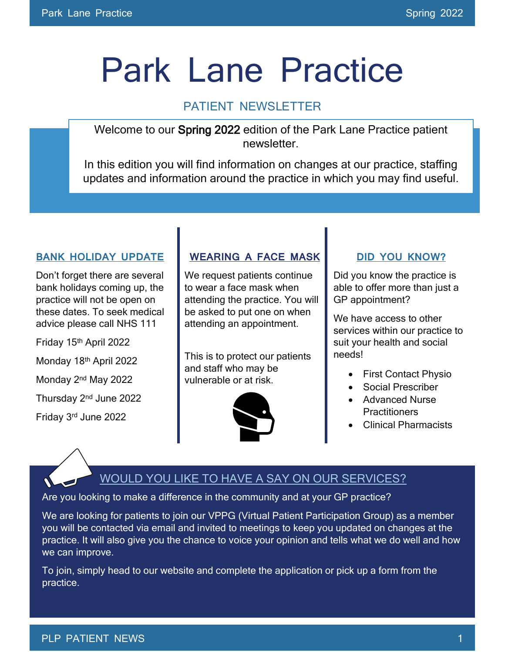# Park Lane Practice

### PATIENT NEWSLETTER

Welcome to our Spring 2022 edition of the Park Lane Practice patient newsletter.

In this edition you will find information on changes at our practice, staffing updates and information around the practice in which you may find useful.

#### **BANK HOLIDAY UPDATE**

Don't forget there are several bank holidays coming up, the practice will not be open on these dates. To seek medical advice please call NHS 111

Friday 15th April 2022 Monday 18th April 2022 Monday 2nd May 2022 Thursday 2<sup>nd</sup> June 2022 Friday 3 rd June 2022

#### **WEARING A FACE MASK**

We request patients continue to wear a face mask when attending the practice. You will be asked to put one on when attending an appointment.

This is to protect our patients and staff who may be vulnerable or at risk.



#### **DID YOU KNOW?**

Did you know the practice is able to offer more than just a GP appointment?

We have access to other services within our practice to suit your health and social needs!

- First Contact Physio
- Social Prescriber
- Advanced Nurse **Practitioners**
- Clinical Pharmacists

## WOULD YOU LIKE TO HAVE A SAY ON OUR SERVICES?

Are you looking to make a difference in the community and at your GP practice?

We are looking for patients to join our VPPG (Virtual Patient Participation Group) as a member you will be contacted via email and invited to meetings to keep you updated on changes at the practice. It will also give you the chance to voice your opinion and tells what we do well and how we can improve.

To join, simply head to our website and complete the application or pick up a form from the practice.